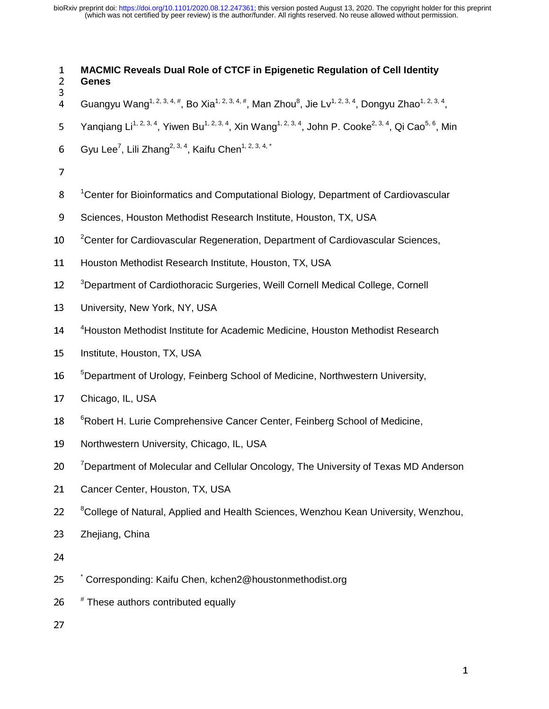<sup>1</sup>**MACMIC Reveals Dual Role of CTCF in Epigenetic Regulation of Cell Identity**  <sup>2</sup>**Genes**  4 4 Guangyu Wang<sup>1, 2, 3, 4, #</sup>, Bo Xia<sup>1, 2, 3, 4, #</sup>, Man Zhou<sup>8</sup>, Jie Lv<sup>1, 2, 3, 4</sup>, Dongyu Zhao<sup>1, 2, 3, 4</sup>, 5 Yangiang Li<sup>1, 2, 3, 4</sup>, Yiwen Bu<sup>1, 2, 3, 4</sup>, Xin Wang<sup>1, 2, 3, 4</sup>, John P. Cooke<sup>2, 3, 4</sup>, Qi Cao<sup>5, 6</sup>, Min 6 Gyu Lee<sup>7</sup>, Lili Zhang<sup>2, 3, 4</sup>, Kaifu Chen<sup>1, 2, 3, 4,  $\star$ </sup> 7 8 <sup>1</sup> Center for Bioinformatics and Computational Biology, Department of Cardiovascular 9 Sciences, Houston Methodist Research Institute, Houston, TX, USA 10 <sup>2</sup> Center for Cardiovascular Regeneration, Department of Cardiovascular Sciences, 11 Houston Methodist Research Institute, Houston, TX, USA 12 <sup>3</sup>Department of Cardiothoracic Surgeries, Weill Cornell Medical College, Cornell 13 University, New York, NY, USA 14 <sup>4</sup>Houston Methodist Institute for Academic Medicine, Houston Methodist Research 15 Institute, Houston, TX, USA 16 <sup>5</sup>Department of Urology, Feinberg School of Medicine, Northwestern University, 17 Chicago, IL, USA 18 <sup>6</sup> Robert H. Lurie Comprehensive Cancer Center, Feinberg School of Medicine, 19 Northwestern University, Chicago, IL, USA 20 *Tepartment of Molecular and Cellular Oncology*, The University of Texas MD Anderson 21 Cancer Center, Houston, TX, USA <sup>8</sup> College of Natural, Applied and Health Sciences, Wenzhou Kean University, Wenzhou, 23 Zhejiang, China 24 15 <sup>\*</sup> Corresponding: Kaifu Chen, kchen2@houstonmethodist.org 26 # These authors contributed equally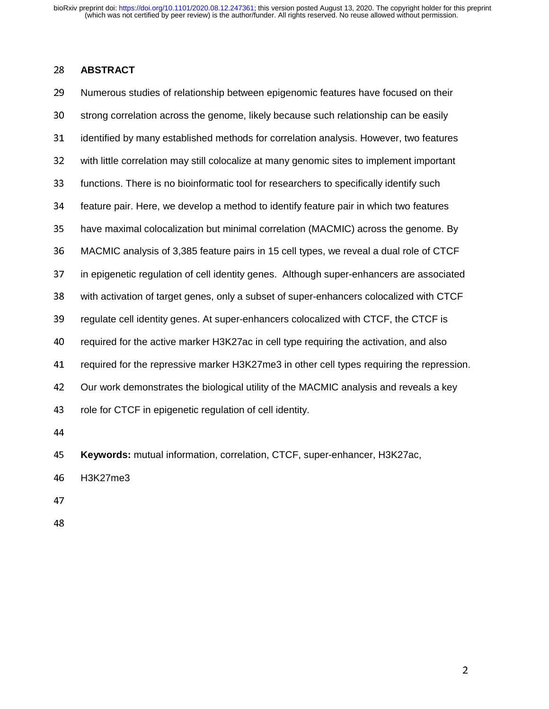# <sup>28</sup>**ABSTRACT**

29 Numerous studies of relationship between epigenomic features have focused on their 30 strong correlation across the genome, likely because such relationship can be easily 31 identified by many established methods for correlation analysis. However, two features 32 with little correlation may still colocalize at many genomic sites to implement important 33 functions. There is no bioinformatic tool for researchers to specifically identify such 34 feature pair. Here, we develop a method to identify feature pair in which two features 35 have maximal colocalization but minimal correlation (MACMIC) across the genome. By <sup>36</sup>MACMIC analysis of 3,385 feature pairs in 15 cell types, we reveal a dual role of CTCF 37 in epigenetic regulation of cell identity genes. Although super-enhancers are associated <sup>38</sup>with activation of target genes, only a subset of super-enhancers colocalized with CTCF 39 regulate cell identity genes. At super-enhancers colocalized with CTCF, the CTCF is 40 required for the active marker H3K27ac in cell type requiring the activation, and also 41 required for the repressive marker H3K27me3 in other cell types requiring the repression. 42 Our work demonstrates the biological utility of the MACMIC analysis and reveals a key 43 role for CTCF in epigenetic regulation of cell identity. 44 <sup>45</sup>**Keywords:** mutual information, correlation, CTCF, super-enhancer, H3K27ac, 46 H3K27me3

- 47
- 48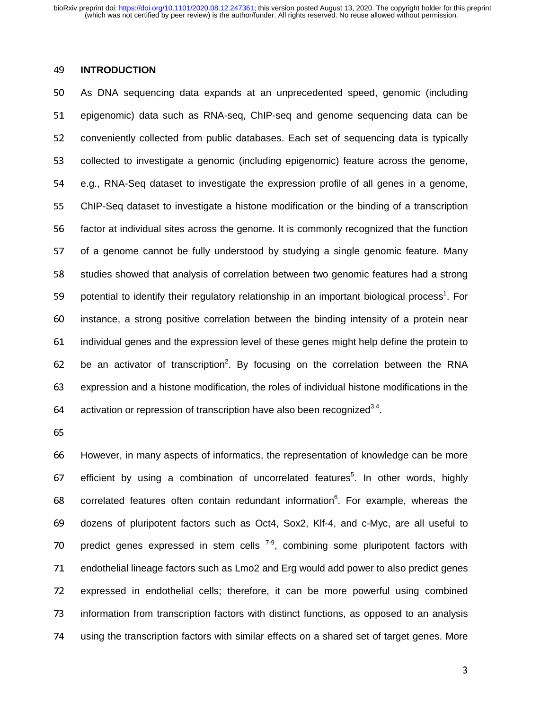# <sup>49</sup>**INTRODUCTION**

50 As DNA sequencing data expands at an unprecedented speed, genomic (including 51 epigenomic) data such as RNA-seg, ChIP-seg and genome sequencing data can be 52 conveniently collected from public databases. Each set of sequencing data is typically 53 collected to investigate a genomic (including epigenomic) feature across the genome, <sup>54</sup>e.g., RNA-Seq dataset to investigate the expression profile of all genes in a genome, <sup>55</sup>ChIP-Seq dataset to investigate a histone modification or the binding of a transcription 56 factor at individual sites across the genome. It is commonly recognized that the function 57 of a genome cannot be fully understood by studying a single genomic feature. Many 58 studies showed that analysis of correlation between two genomic features had a strong 59 potential to identify their regulatory relationship in an important biological process<sup>1</sup>. For 60 instance, a strong positive correlation between the binding intensity of a protein near <sup>61</sup>individual genes and the expression level of these genes might help define the protein to 62 be an activator of transcription<sup>2</sup>. By focusing on the correlation between the RNA <sup>63</sup>expression and a histone modification, the roles of individual histone modifications in the 64 activation or repression of transcription have also been recognized<sup>3,4</sup>.

65

<sup>66</sup>However, in many aspects of informatics, the representation of knowledge can be more 67 efficient by using a combination of uncorrelated features<sup>5</sup>. In other words, highly 68 correlated features often contain redundant information $6$ . For example, whereas the 69 dozens of pluripotent factors such as Oct4, Sox2, Klf-4, and c-Myc, are all useful to 70 predict genes expressed in stem cells  $7-9$ , combining some pluripotent factors with 71 endothelial lineage factors such as Lmo2 and Erg would add power to also predict genes 72 expressed in endothelial cells; therefore, it can be more powerful using combined 73 information from transcription factors with distinct functions, as opposed to an analysis 74 using the transcription factors with similar effects on a shared set of target genes. More

 $\sim$  3.3  $\sim$  3.3  $\sim$  3.3  $\sim$  3.3  $\sim$  3.3  $\sim$  3.3  $\sim$  3.3  $\sim$  3.3  $\sim$  3.3  $\sim$  3.3  $\sim$  3.3  $\sim$  3.3  $\sim$  3.3  $\sim$  3.3  $\sim$  3.3  $\sim$  3.3  $\sim$  3.3  $\sim$  3.3  $\sim$  3.3  $\sim$  3.3  $\sim$  3.3  $\sim$  3.3  $\sim$  3.3  $\sim$  3.3  $\sim$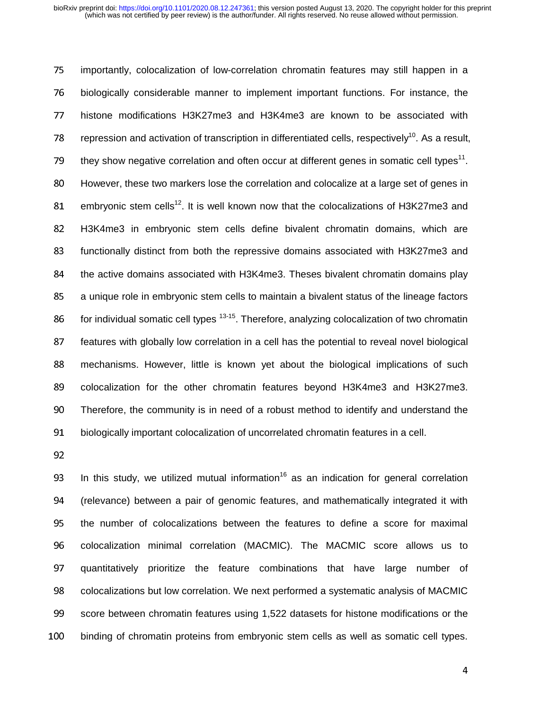75 importantly, colocalization of low-correlation chromatin features may still happen in a 76 biologically considerable manner to implement important functions. For instance, the 77 histone modifications H3K27me3 and H3K4me3 are known to be associated with 78 repression and activation of transcription in differentiated cells, respectively<sup>10</sup>. As a result, 79 they show negative correlation and often occur at different genes in somatic cell types<sup>11</sup>. 80 However, these two markers lose the correlation and colocalize at a large set of genes in 81. embryonic stem cells<sup>12</sup>. It is well known now that the colocalizations of H3K27me3 and <sup>82</sup>H3K4me3 in embryonic stem cells define bivalent chromatin domains, which are 83 functionally distinct from both the repressive domains associated with H3K27me3 and 84 the active domains associated with H3K4me3. Theses bivalent chromatin domains play 85 a unique role in embryonic stem cells to maintain a bivalent status of the lineage factors 86 for individual somatic cell types  $13-15$ . Therefore, analyzing colocalization of two chromatin 87 features with globally low correlation in a cell has the potential to reveal novel biological 88 mechanisms. However, little is known yet about the biological implications of such 89 colocalization for the other chromatin features beyond H3K4me3 and H3K27me3. <sup>90</sup>Therefore, the community is in need of a robust method to identify and understand the 91 biologically important colocalization of uncorrelated chromatin features in a cell.

92

93 In this study, we utilized mutual information<sup>16</sup> as an indication for general correlation <sup>94</sup>(relevance) between a pair of genomic features, and mathematically integrated it with 95 the number of colocalizations between the features to define a score for maximal 96 colocalization minimal correlation (MACMIC). The MACMIC score allows us to 97 quantitatively prioritize the feature combinations that have large number of 98 colocalizations but low correlation. We next performed a systematic analysis of MACMIC 99 score between chromatin features using 1,522 datasets for histone modifications or the 100 binding of chromatin proteins from embryonic stem cells as well as somatic cell types.

de la construcción de la construcción de la construcción de la construcción de la construcción de la construcc<br>A la construcción de la construcción de la construcción de la construcción de la construcción de la construcci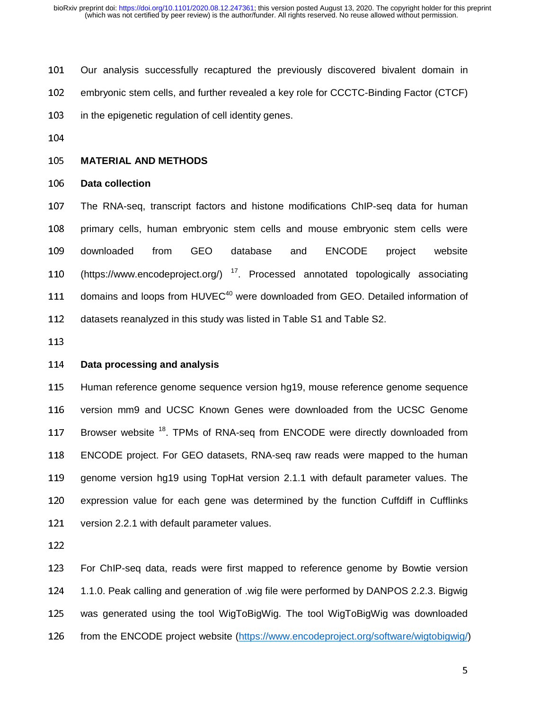- 101 Our analysis successfully recaptured the previously discovered bivalent domain in
- 102 embryonic stem cells, and further revealed a key role for CCCTC-Binding Factor (CTCF)
- 103 in the epigenetic regulation of cell identity genes.
- 104

#### <sup>105</sup>**MATERIAL AND METHODS**

#### <sup>106</sup>**Data collection**

107 The RNA-seq, transcript factors and histone modifications ChIP-seq data for human 108 primary cells, human embryonic stem cells and mouse embryonic stem cells were 109 downloaded from GEO database and ENCODE project website 110 (https://www.encodeproject.org/)  $^{17}$ . Processed annotated topologically associating 111 domains and loops from  $HUVEC<sup>40</sup>$  were downloaded from GEO. Detailed information of 112 datasets reanalyzed in this study was listed in Table S1 and Table S2.

113

# <sup>114</sup>**Data processing and analysis**

115 Human reference genome sequence version hg19, mouse reference genome sequence 116 version mm9 and UCSC Known Genes were downloaded from the UCSC Genome 117 Browser website <sup>18</sup>. TPMs of RNA-seq from ENCODE were directly downloaded from 118 ENCODE project. For GEO datasets, RNA-seq raw reads were mapped to the human 119 genome version hg19 using TopHat version 2.1.1 with default parameter values. The 120 expression value for each gene was determined by the function Cuffdiff in Cufflinks 121 version 2.2.1 with default parameter values.

122

123 For ChIP-seq data, reads were first mapped to reference genome by Bowtie version 124 1.1.0. Peak calling and generation of .wig file were performed by DANPOS 2.2.3. Bigwig 125 was generated using the tool WigToBigWig. The tool WigToBigWig was downloaded 126 from the ENCODE project website (https://www.encodeproject.org/software/wigtobigwig/)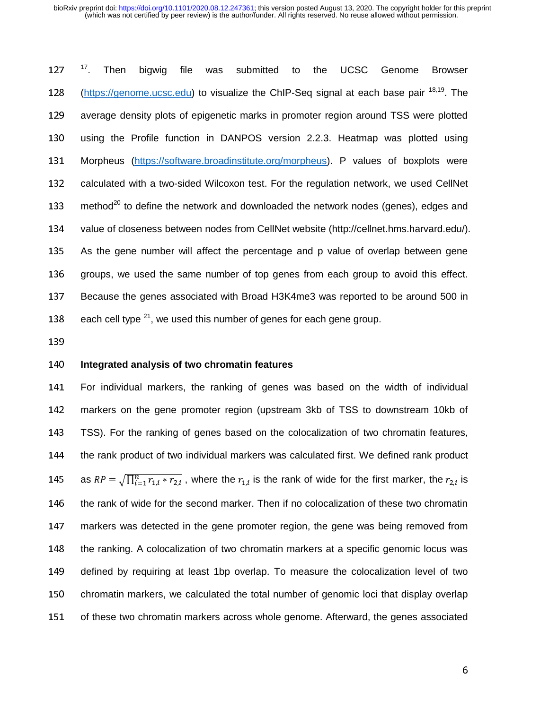$17$ . Then 127 <sup>17</sup>. Then bigwig file was submitted to the UCSC Genome Browser 128 (https://genome.ucsc.edu) to visualize the ChIP-Seq signal at each base pair <sup>18,19</sup>. The 129 average density plots of epigenetic marks in promoter region around TSS were plotted 130 using the Profile function in DANPOS version 2.2.3. Heatmap was plotted using 131 Morpheus (https://software.broadinstitute.org/morpheus). P values of boxplots were 132 calculated with a two-sided Wilcoxon test. For the regulation network, we used CellNet 133 method<sup>20</sup> to define the network and downloaded the network nodes (genes), edges and 134 value of closeness between nodes from CellNet website (http://cellnet.hms.harvard.edu/). 135 As the gene number will affect the percentage and p value of overlap between gene 136 groups, we used the same number of top genes from each group to avoid this effect. 137 Because the genes associated with Broad H3K4me3 was reported to be around 500 in 138 each cell type  $2^1$ , we used this number of genes for each gene group.

139

# <sup>140</sup>**Integrated analysis of two chromatin features**

141 For individual markers, the ranking of genes was based on the width of individual 142 markers on the gene promoter region (upstream 3kb of TSS to downstream 10kb of <sup>143</sup>TSS). For the ranking of genes based on the colocalization of two chromatin features, 144 the rank product of two individual markers was calculated first. We defined rank product 145 as  $RP = \sqrt{\prod_{i=1}^{n} r_{1,i} * r_{2,i}}$ , where the  $r_{1,i}$  is the rank of wide for the first marker, the  $r_{2,i}$  is 146 the rank of wide for the second marker. Then if no colocalization of these two chromatin 147 markers was detected in the gene promoter region, the gene was being removed from 148 the ranking. A colocalization of two chromatin markers at a specific genomic locus was 149 defined by requiring at least 1bp overlap. To measure the colocalization level of two 150 chromatin markers, we calculated the total number of genomic loci that display overlap 151 of these two chromatin markers across whole genome. Afterward, the genes associated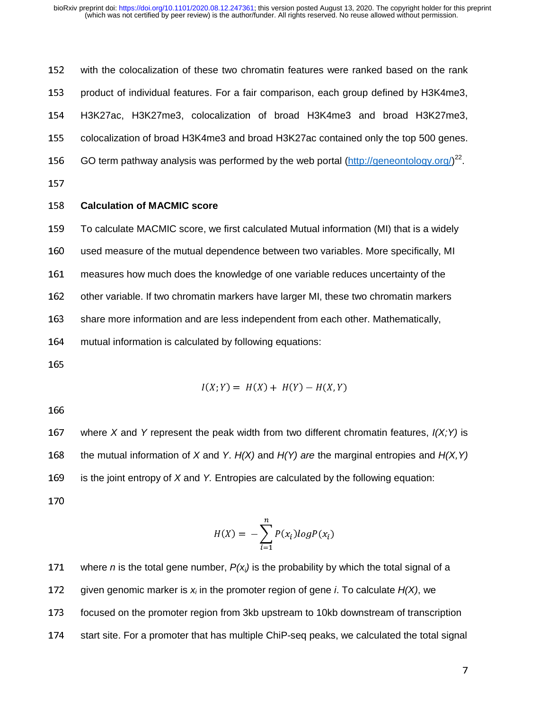152 with the colocalization of these two chromatin features were ranked based on the rank 153 product of individual features. For a fair comparison, each group defined by H3K4me3, <sup>154</sup>H3K27ac, H3K27me3, colocalization of broad H3K4me3 and broad H3K27me3, 155 colocalization of broad H3K4me3 and broad H3K27ac contained only the top 500 genes. 156 GO term pathway analysis was performed by the web portal  $(\frac{http://geneontology.org/}{2})^{22}$ . 157

# <sup>158</sup>**Calculation of MACMIC score**

<sup>159</sup>To calculate MACMIC score, we first calculated Mutual information (MI) that is a widely

160 used measure of the mutual dependence between two variables. More specifically, MI

<sup>161</sup>measures how much does the knowledge of one variable reduces uncertainty of the

162 other variable. If two chromatin markers have larger MI, these two chromatin markers

163 share more information and are less independent from each other. Mathematically,

164 mutual information is calculated by following equations:

165

$$
I(X; Y) = H(X) + H(Y) - H(X, Y)
$$

166

167 where *X* and *Y* represent the peak width from two different chromatin features,  $I(X;Y)$  is 168 the mutual information of *X* and *Y. H(X)* and *H(Y) are* the marginal entropies and *H(X,Y)* 169 is the joint entropy of *X* and *Y.* Entropies are calculated by the following equation: 170

$$
H(X) = -\sum_{i=1}^{n} P(x_i) \log P(x_i)
$$

171 where *n* is the total gene number,  $P(x_i)$  is the probability by which the total signal of a 172 given genomic marker is  $x_i$  in the promoter region of gene *i*. To calculate  $H(X)$ , we 173 focused on the promoter region from 3kb upstream to 10kb downstream of transcription 174 start site. For a promoter that has multiple ChiP-seq peaks, we calculated the total signal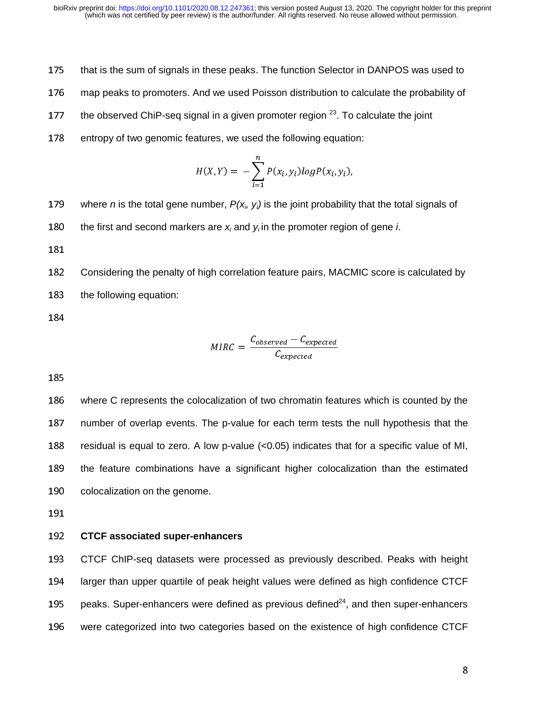- 175 that is the sum of signals in these peaks. The function Selector in DANPOS was used to
- 176 map peaks to promoters. And we used Poisson distribution to calculate the probability of
- 177 the observed ChiP-seq signal in a given promoter region  $2<sup>3</sup>$ . To calculate the joint
- 178 entropy of two genomic features, we used the following equation:

$$
H(X,Y) = -\sum_{i=1}^{n} P(x_i, y_i) log P(x_i, y_i),
$$

- 179 where *n* is the total gene number,  $P(x_i, y_i)$  is the joint probability that the total signals of
- 180 the first and second markers are  $x_i$  and  $y_i$  in the promoter region of gene *i*.
- 181

182 Considering the penalty of high correlation feature pairs, MACMIC score is calculated by 183 the following equation:

184

$$
MIRC = \frac{C_{observed} - C_{expected}}{C_{expected}}
$$

185

186 where C represents the colocalization of two chromatin features which is counted by the 187 number of overlap events. The p-value for each term tests the null hypothesis that the 188 residual is equal to zero. A low p-value  $(<0.05)$  indicates that for a specific value of MI, 189 the feature combinations have a significant higher colocalization than the estimated 190 colocalization on the genome.

191

#### <sup>192</sup>**CTCF associated super-enhancers**

<sup>193</sup>CTCF ChIP-seq datasets were processed as previously described. Peaks with height 194 larger than upper quartile of peak height values were defined as high confidence CTCF 195 peaks. Super-enhancers were defined as previous defined $24$ , and then super-enhancers 196 were categorized into two categories based on the existence of high confidence CTCF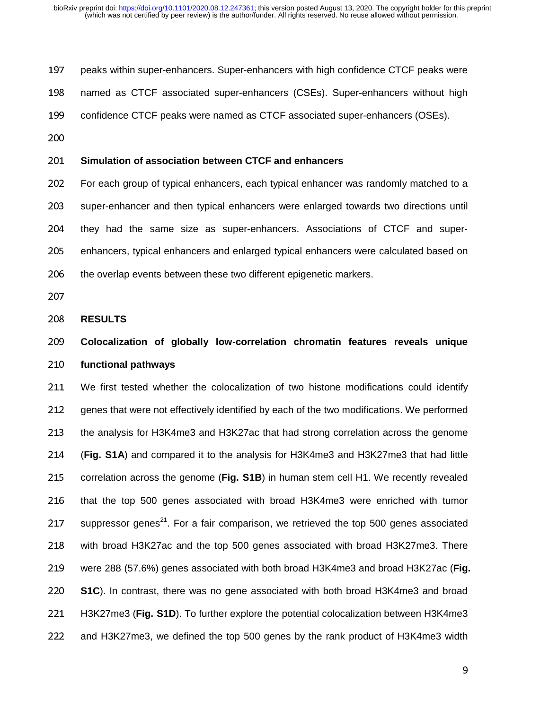197 peaks within super-enhancers. Super-enhancers with high confidence CTCF peaks were

198 named as CTCF associated super-enhancers (CSEs). Super-enhancers without high

199 confidence CTCF peaks were named as CTCF associated super-enhancers (OSEs).

200

#### <sup>201</sup>**Simulation of association between CTCF and enhancers**

202 For each group of typical enhancers, each typical enhancer was randomly matched to a 203 super-enhancer and then typical enhancers were enlarged towards two directions until 204 they had the same size as super-enhancers. Associations of CTCF and super-205 enhancers, typical enhancers and enlarged typical enhancers were calculated based on 206 the overlap events between these two different epigenetic markers.

207

#### <sup>208</sup>**RESULTS**

# <sup>209</sup>**Colocalization of globally low-correlation chromatin features reveals unique**  <sup>210</sup>**functional pathways**

211 We first tested whether the colocalization of two histone modifications could identify 212 genes that were not effectively identified by each of the two modifications. We performed 213 the analysis for H3K4me3 and H3K27ac that had strong correlation across the genome <sup>214</sup>(**Fig. S1A**) and compared it to the analysis for H3K4me3 and H3K27me3 that had little 215 correlation across the genome (Fig. S1B) in human stem cell H1. We recently revealed 216 that the top 500 genes associated with broad H3K4me3 were enriched with tumor 217 suppressor genes<sup>21</sup>. For a fair comparison, we retrieved the top 500 genes associated 218 with broad H3K27ac and the top 500 genes associated with broad H3K27me3. There <sup>219</sup>were 288 (57.6%) genes associated with both broad H3K4me3 and broad H3K27ac (**Fig.**  <sup>220</sup>**S1C**). In contrast, there was no gene associated with both broad H3K4me3 and broad <sup>221</sup>H3K27me3 (**Fig. S1D**). To further explore the potential colocalization between H3K4me3 222 and H3K27me3, we defined the top 500 genes by the rank product of H3K4me3 width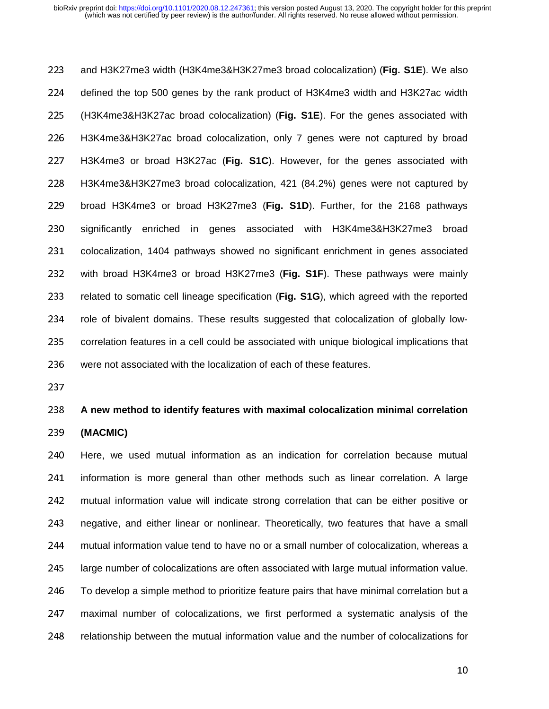223 and H3K27me3 width (H3K4me3&H3K27me3 broad colocalization) (Fig. S1E). We also 224 defined the top 500 genes by the rank product of H3K4me3 width and H3K27ac width <sup>225</sup>(H3K4me3&H3K27ac broad colocalization) (**Fig. S1E**). For the genes associated with 226 H3K4me3&H3K27ac broad colocalization, only 7 genes were not captured by broad <sup>227</sup>H3K4me3 or broad H3K27ac (**Fig. S1C**). However, for the genes associated with 228 H3K4me3&H3K27me3 broad colocalization, 421 (84.2%) genes were not captured by <sup>229</sup>broad H3K4me3 or broad H3K27me3 (**Fig. S1D**). Further, for the 2168 pathways 230 significantly enriched in genes associated with H3K4me3&H3K27me3 broad 231 colocalization, 1404 pathways showed no significant enrichment in genes associated <sup>232</sup>with broad H3K4me3 or broad H3K27me3 (**Fig. S1F**). These pathways were mainly 233 related to somatic cell lineage specification (Fig. S1G), which agreed with the reported 234 role of bivalent domains. These results suggested that colocalization of globally low-235 correlation features in a cell could be associated with unique biological implications that 236 were not associated with the localization of each of these features.

237

#### <sup>238</sup>**A new method to identify features with maximal colocalization minimal correlation**

#### <sup>239</sup>**(MACMIC)**

240 Here, we used mutual information as an indication for correlation because mutual 241 information is more general than other methods such as linear correlation. A large 242 mutual information value will indicate strong correlation that can be either positive or 243 negative, and either linear or nonlinear. Theoretically, two features that have a small 244 mutual information value tend to have no or a small number of colocalization, whereas a 245 large number of colocalizations are often associated with large mutual information value. 246 To develop a simple method to prioritize feature pairs that have minimal correlation but a 247 maximal number of colocalizations, we first performed a systematic analysis of the 248 relationship between the mutual information value and the number of colocalizations for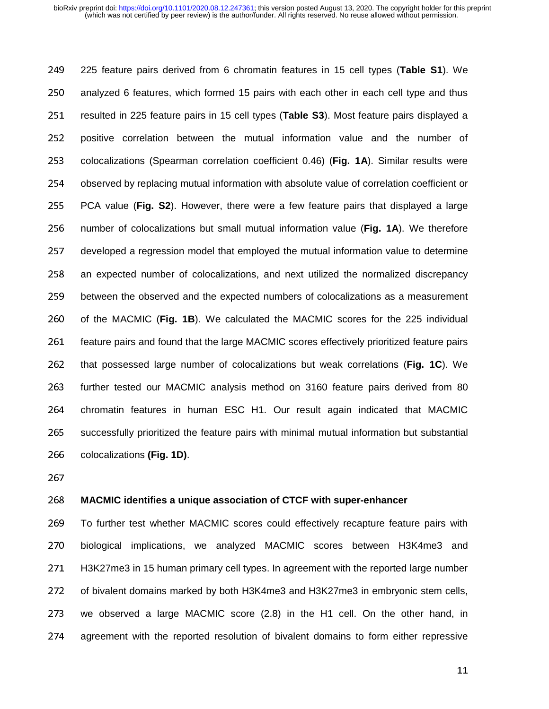<sup>249</sup>225 feature pairs derived from 6 chromatin features in 15 cell types (**Table S1**). We 250 analyzed 6 features, which formed 15 pairs with each other in each cell type and thus 251 resulted in 225 feature pairs in 15 cell types (**Table S3**). Most feature pairs displayed a 252 positive correlation between the mutual information value and the number of 253 colocalizations (Spearman correlation coefficient 0.46) (Fig. 1A). Similar results were 254 observed by replacing mutual information with absolute value of correlation coefficient or <sup>255</sup>PCA value (**Fig. S2**). However, there were a few feature pairs that displayed a large 256 number of colocalizations but small mutual information value (**Fig. 1A**). We therefore 257 developed a regression model that employed the mutual information value to determine 258 an expected number of colocalizations, and next utilized the normalized discrepancy 259 between the observed and the expected numbers of colocalizations as a measurement 260 of the MACMIC (**Fig. 1B**). We calculated the MACMIC scores for the 225 individual 261 feature pairs and found that the large MACMIC scores effectively prioritized feature pairs 262 that possessed large number of colocalizations but weak correlations (Fig. 1C). We 263 further tested our MACMIC analysis method on 3160 feature pairs derived from 80 264 chromatin features in human ESC H1. Our result again indicated that MACMIC 265 successfully prioritized the feature pairs with minimal mutual information but substantial 266 colocalizations **(Fig. 1D)**.

267

#### <sup>268</sup>**MACMIC identifies a unique association of CTCF with super-enhancer**

269 To further test whether MACMIC scores could effectively recapture feature pairs with 270 biological implications, we analyzed MACMIC scores between H3K4me3 and 271 H3K27me3 in 15 human primary cell types. In agreement with the reported large number 272 of bivalent domains marked by both H3K4me3 and H3K27me3 in embryonic stem cells, 273 we observed a large MACMIC score (2.8) in the H1 cell. On the other hand, in 274 agreement with the reported resolution of bivalent domains to form either repressive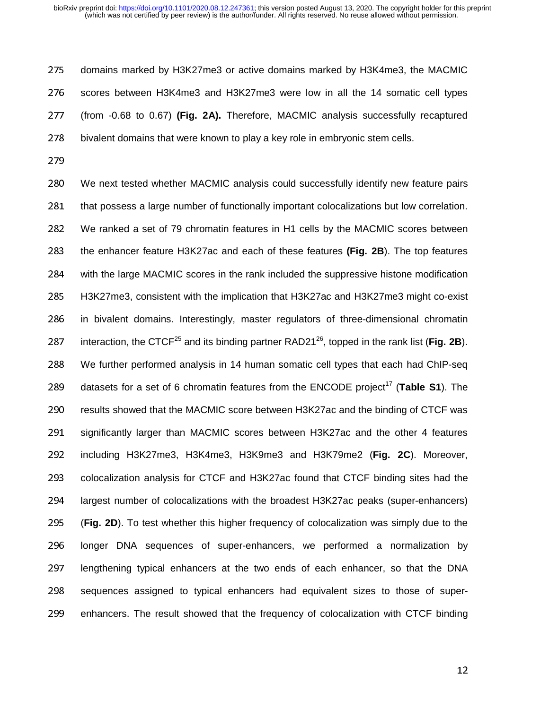275 domains marked by H3K27me3 or active domains marked by H3K4me3, the MACMIC 276 scores between H3K4me3 and H3K27me3 were low in all the 14 somatic cell types <sup>277</sup>(from -0.68 to 0.67) **(Fig. 2A).** Therefore, MACMIC analysis successfully recaptured 278 bivalent domains that were known to play a key role in embryonic stem cells.

279

<sup>280</sup>We next tested whether MACMIC analysis could successfully identify new feature pairs 281 that possess a large number of functionally important colocalizations but low correlation. <sup>282</sup>We ranked a set of 79 chromatin features in H1 cells by the MACMIC scores between 283 the enhancer feature H3K27ac and each of these features (Fig. 2B). The top features 284 with the large MACMIC scores in the rank included the suppressive histone modification 285 H3K27me3, consistent with the implication that H3K27ac and H3K27me3 might co-exist 286 in bivalent domains. Interestingly, master regulators of three-dimensional chromatin 287 interaction, the CTCF<sup>25</sup> and its binding partner RAD21<sup>26</sup>, topped in the rank list (**Fig. 2B**). 288 We further performed analysis in 14 human somatic cell types that each had ChIP-seq 289 datasets for a set of 6 chromatin features from the  $ENCODE$  project<sup>17</sup> (Table S1). The 290 results showed that the MACMIC score between H3K27ac and the binding of CTCF was 291 significantly larger than MACMIC scores between H3K27ac and the other 4 features <sup>292</sup>including H3K27me3, H3K4me3, H3K9me3 and H3K79me2 (**Fig. 2C**). Moreover, 293 colocalization analysis for CTCF and H3K27ac found that CTCF binding sites had the 294 largest number of colocalizations with the broadest H3K27ac peaks (super-enhancers) <sup>295</sup>(**Fig. 2D**). To test whether this higher frequency of colocalization was simply due to the 296 longer DNA sequences of super-enhancers, we performed a normalization by 297 lengthening typical enhancers at the two ends of each enhancer, so that the DNA 298 sequences assigned to typical enhancers had equivalent sizes to those of super-299 enhancers. The result showed that the frequency of colocalization with CTCF binding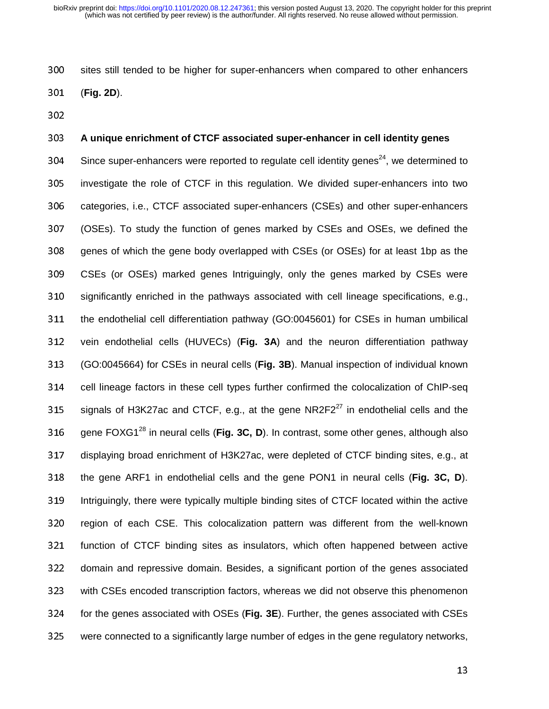300 sites still tended to be higher for super-enhancers when compared to other enhancers

<sup>301</sup>(**Fig. 2D**).

302

### <sup>303</sup>**A unique enrichment of CTCF associated super-enhancer in cell identity genes**

304 Since super-enhancers were reported to regulate cell identity genes<sup>24</sup>, we determined to 305 investigate the role of CTCF in this regulation. We divided super-enhancers into two 306 categories, i.e., CTCF associated super-enhancers (CSEs) and other super-enhancers <sup>307</sup>(OSEs). To study the function of genes marked by CSEs and OSEs, we defined the 308 genes of which the gene body overlapped with CSEs (or OSEs) for at least 1bp as the 309 CSEs (or OSEs) marked genes Intriguingly, only the genes marked by CSEs were 310 significantly enriched in the pathways associated with cell lineage specifications, e.g., 311 the endothelial cell differentiation pathway (GO:0045601) for CSEs in human umbilical 312 vein endothelial cells (HUVECs) (Fig. 3A) and the neuron differentiation pathway <sup>313</sup>(GO:0045664) for CSEs in neural cells (**Fig. 3B**). Manual inspection of individual known 314 cell lineage factors in these cell types further confirmed the colocalization of ChIP-seq 315 signals of H3K27ac and CTCF, e.g., at the gene  $NR2F2^{27}$  in endothelial cells and the 316 gene FOXG1<sup>28</sup> in neural cells (**Fig. 3C, D**). In contrast, some other genes, although also 317 displaying broad enrichment of H3K27ac, were depleted of CTCF binding sites, e.g., at 318 the gene ARF1 in endothelial cells and the gene PON1 in neural cells (Fig. 3C, D). 319 Intriguingly, there were typically multiple binding sites of CTCF located within the active 320 region of each CSE. This colocalization pattern was different from the well-known 321 function of CTCF binding sites as insulators, which often happened between active 322 domain and repressive domain. Besides, a significant portion of the genes associated 323 with CSEs encoded transcription factors, whereas we did not observe this phenomenon <sup>324</sup>for the genes associated with OSEs (**Fig. 3E**). Further, the genes associated with CSEs 325 were connected to a significantly large number of edges in the gene regulatory networks,

13<br>13<br>13<br>13<br>13<br>20<br>13<br>20<br>13<br>20<br>13<br>13<br><br>13<br><br>13<br><br>13<br><br><br><br>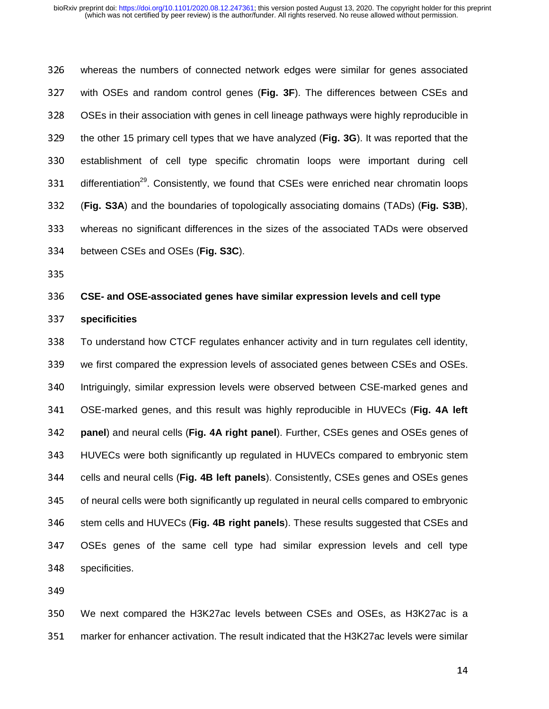326 whereas the numbers of connected network edges were similar for genes associated <sup>327</sup>with OSEs and random control genes (**Fig. 3F**). The differences between CSEs and 328 OSEs in their association with genes in cell lineage pathways were highly reproducible in 329 the other 15 primary cell types that we have analyzed (Fig. 3G). It was reported that the 330 establishment of cell type specific chromatin loops were important during cell 331 differentiation<sup>29</sup>. Consistently, we found that CSEs were enriched near chromatin loops <sup>332</sup>(**Fig. S3A**) and the boundaries of topologically associating domains (TADs) (**Fig. S3B**), <sup>333</sup>whereas no significant differences in the sizes of the associated TADs were observed <sup>334</sup>between CSEs and OSEs (**Fig. S3C**).

335

# <sup>336</sup>**CSE- and OSE-associated genes have similar expression levels and cell type**

<sup>337</sup>**specificities** 

<sup>338</sup>To understand how CTCF regulates enhancer activity and in turn regulates cell identity, 339 we first compared the expression levels of associated genes between CSEs and OSEs. 340 Intriguingly, similar expression levels were observed between CSE-marked genes and <sup>341</sup>OSE-marked genes, and this result was highly reproducible in HUVECs (**Fig. 4A left**  <sup>342</sup>**panel**) and neural cells (**Fig. 4A right panel**). Further, CSEs genes and OSEs genes of 343 HUVECs were both significantly up regulated in HUVECs compared to embryonic stem <sup>344</sup>cells and neural cells (**Fig. 4B left panels**). Consistently, CSEs genes and OSEs genes 345 of neural cells were both significantly up regulated in neural cells compared to embryonic 346 stem cells and HUVECs (**Fig. 4B right panels**). These results suggested that CSEs and <sup>347</sup>OSEs genes of the same cell type had similar expression levels and cell type 348 specificities.

349

<sup>350</sup>We next compared the H3K27ac levels between CSEs and OSEs, as H3K27ac is a 351 marker for enhancer activation. The result indicated that the H3K27ac levels were similar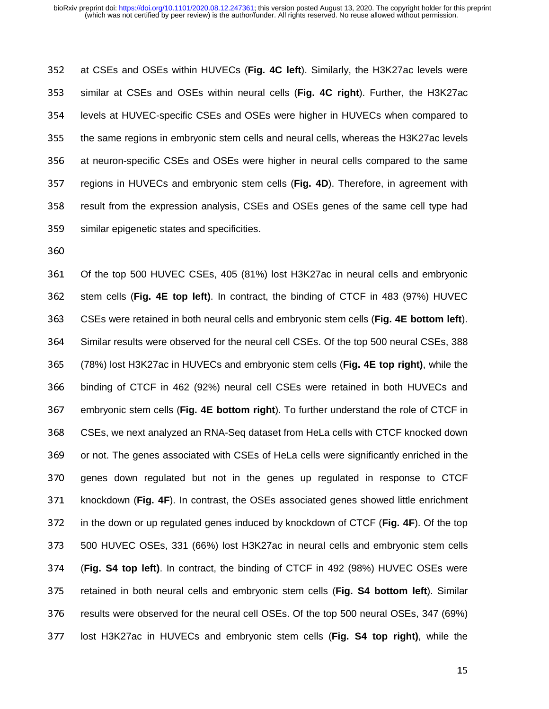352 at CSEs and OSEs within HUVECs (Fig. 4C left). Similarly, the H3K27ac levels were <sup>353</sup>similar at CSEs and OSEs within neural cells (**Fig. 4C right**). Further, the H3K27ac 354 levels at HUVEC-specific CSEs and OSEs were higher in HUVECs when compared to 355 the same regions in embryonic stem cells and neural cells, whereas the H3K27ac levels 356 at neuron-specific CSEs and OSEs were higher in neural cells compared to the same 357 regions in HUVECs and embryonic stem cells (Fig. 4D). Therefore, in agreement with 358 result from the expression analysis, CSEs and OSEs genes of the same cell type had 359 similar epigenetic states and specificities.

360

361 Of the top 500 HUVEC CSEs, 405 (81%) lost H3K27ac in neural cells and embryonic 362 stem cells (Fig. 4E top left). In contract, the binding of CTCF in 483 (97%) HUVEC <sup>363</sup>CSEs were retained in both neural cells and embryonic stem cells (**Fig. 4E bottom left**). 364 Similar results were observed for the neural cell CSEs. Of the top 500 neural CSEs, 388 <sup>365</sup>(78%) lost H3K27ac in HUVECs and embryonic stem cells (**Fig. 4E top right)**, while the <sup>366</sup>binding of CTCF in 462 (92%) neural cell CSEs were retained in both HUVECs and 367 embryonic stem cells (**Fig. 4E bottom right**). To further understand the role of CTCF in 368 CSEs, we next analyzed an RNA-Seq dataset from HeLa cells with CTCF knocked down 369 or not. The genes associated with CSEs of HeLa cells were significantly enriched in the 370 genes down regulated but not in the genes up regulated in response to CTCF 371 knockdown (**Fig. 4F**). In contrast, the OSEs associated genes showed little enrichment 372 in the down or up regulated genes induced by knockdown of CTCF (**Fig. 4F**). Of the top <sup>373</sup>500 HUVEC OSEs, 331 (66%) lost H3K27ac in neural cells and embryonic stem cells <sup>374</sup>(**Fig. S4 top left)**. In contract, the binding of CTCF in 492 (98%) HUVEC OSEs were 375 retained in both neural cells and embryonic stem cells (Fig. S4 bottom left). Similar 376 results were observed for the neural cell OSEs. Of the top 500 neural OSEs, 347 (69%) <sup>377</sup>lost H3K27ac in HUVECs and embryonic stem cells (**Fig. S4 top right)**, while the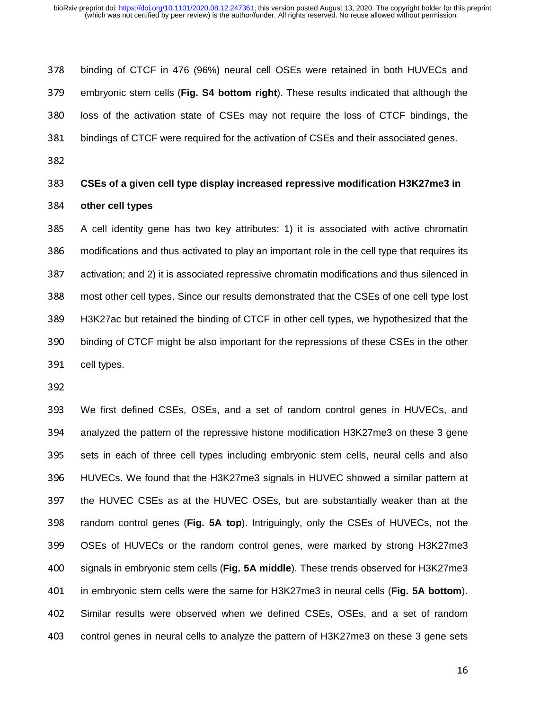378 binding of CTCF in 476 (96%) neural cell OSEs were retained in both HUVECs and 379 embryonic stem cells (**Fig. S4 bottom right**). These results indicated that although the 380 loss of the activation state of CSEs may not require the loss of CTCF bindings, the 381 bindings of CTCF were required for the activation of CSEs and their associated genes.

382

# <sup>383</sup>**CSEs of a given cell type display increased repressive modification H3K27me3 in**  <sup>384</sup>**other cell types**

385 A cell identity gene has two key attributes: 1) it is associated with active chromatin 386 modifications and thus activated to play an important role in the cell type that requires its 387 activation; and 2) it is associated repressive chromatin modifications and thus silenced in 388 most other cell types. Since our results demonstrated that the CSEs of one cell type lost 389 H3K27ac but retained the binding of CTCF in other cell types, we hypothesized that the 390 binding of CTCF might be also important for the repressions of these CSEs in the other 391 cell types.

392

<sup>393</sup>We first defined CSEs, OSEs, and a set of random control genes in HUVECs, and 394 analyzed the pattern of the repressive histone modification H3K27me3 on these 3 gene 395 sets in each of three cell types including embryonic stem cells, neural cells and also 396 HUVECs. We found that the H3K27me3 signals in HUVEC showed a similar pattern at 397 the HUVEC CSEs as at the HUVEC OSEs, but are substantially weaker than at the 398 random control genes (**Fig. 5A top**). Intriguingly, only the CSEs of HUVECs, not the 399 OSEs of HUVECs or the random control genes, were marked by strong H3K27me3 <sup>400</sup>signals in embryonic stem cells (**Fig. 5A middle**). These trends observed for H3K27me3 <sup>401</sup>in embryonic stem cells were the same for H3K27me3 in neural cells (**Fig. 5A bottom**). 402 Similar results were observed when we defined CSEs, OSEs, and a set of random 403 control genes in neural cells to analyze the pattern of H3K27me3 on these 3 gene sets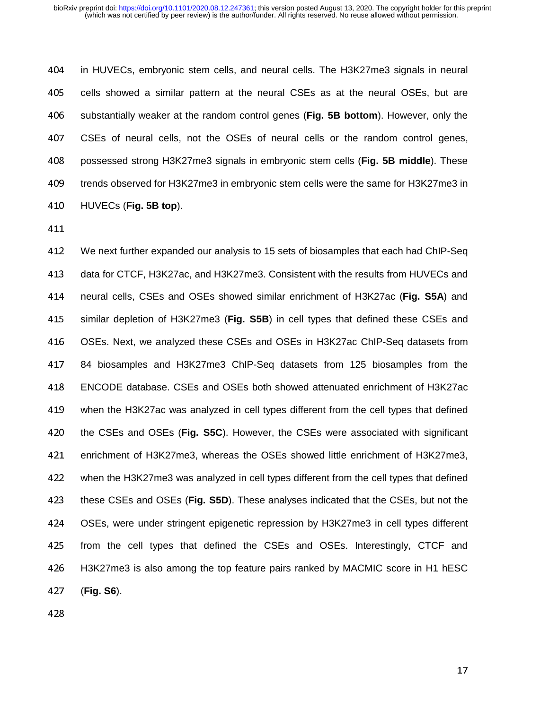404 in HUVECs, embryonic stem cells, and neural cells. The H3K27me3 signals in neural 405 cells showed a similar pattern at the neural CSEs as at the neural OSEs, but are <sup>406</sup>substantially weaker at the random control genes (**Fig. 5B bottom**). However, only the <sup>407</sup>CSEs of neural cells, not the OSEs of neural cells or the random control genes, <sup>408</sup>possessed strong H3K27me3 signals in embryonic stem cells (**Fig. 5B middle**). These 409 trends observed for H3K27me3 in embryonic stem cells were the same for H3K27me3 in <sup>410</sup>HUVECs (**Fig. 5B top**).

411

412 We next further expanded our analysis to 15 sets of biosamples that each had ChIP-Seq 413 data for CTCF, H3K27ac, and H3K27me3. Consistent with the results from HUVECs and <sup>414</sup>neural cells, CSEs and OSEs showed similar enrichment of H3K27ac (**Fig. S5A**) and 415 similar depletion of H3K27me3 (Fig. S5B) in cell types that defined these CSEs and 416 OSEs. Next, we analyzed these CSEs and OSEs in H3K27ac ChIP-Seq datasets from <sup>417</sup>84 biosamples and H3K27me3 ChIP-Seq datasets from 125 biosamples from the <sup>418</sup>ENCODE database. CSEs and OSEs both showed attenuated enrichment of H3K27ac 419 when the H3K27ac was analyzed in cell types different from the cell types that defined <sup>420</sup>the CSEs and OSEs (**Fig. S5C**). However, the CSEs were associated with significant 421 enrichment of H3K27me3, whereas the OSEs showed little enrichment of H3K27me3, 422 when the H3K27me3 was analyzed in cell types different from the cell types that defined <sup>423</sup>these CSEs and OSEs (**Fig. S5D**). These analyses indicated that the CSEs, but not the <sup>424</sup>OSEs, were under stringent epigenetic repression by H3K27me3 in cell types different 425 from the cell types that defined the CSEs and OSEs. Interestingly, CTCF and 426 H3K27me3 is also among the top feature pairs ranked by MACMIC score in H1 hESC <sup>427</sup>(**Fig. S6**).

428

 $\frac{17}{2}$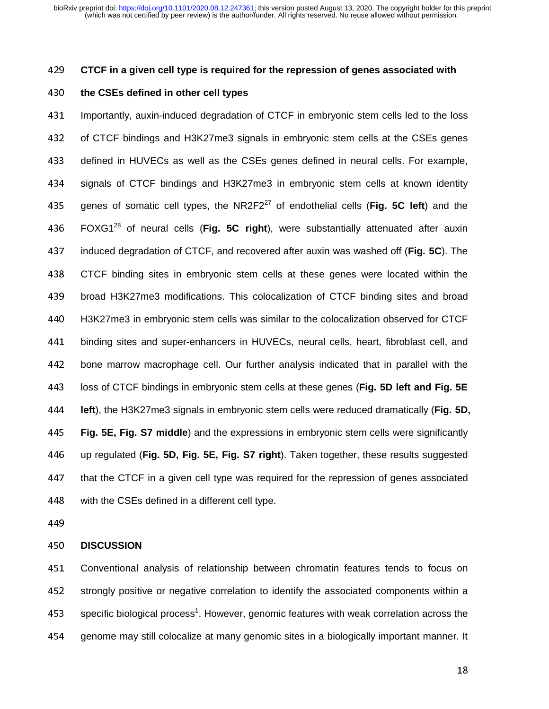# <sup>429</sup>**CTCF in a given cell type is required for the repression of genes associated with**

#### <sup>430</sup>**the CSEs defined in other cell types**

<sup>431</sup>Importantly, auxin-induced degradation of CTCF in embryonic stem cells led to the loss 432 of CTCF bindings and H3K27me3 signals in embryonic stem cells at the CSEs genes 433 defined in HUVECs as well as the CSEs genes defined in neural cells. For example, 434 signals of CTCF bindings and H3K27me3 in embryonic stem cells at known identity 435 genes of somatic cell types, the NR2F2 $^{27}$  of endothelial cells (**Fig. 5C left**) and the 436 FOXG1<sup>28</sup> of neural cells (Fig. 5C right), were substantially attenuated after auxin <sup>437</sup>induced degradation of CTCF, and recovered after auxin was washed off (**Fig. 5C**). The <sup>438</sup>CTCF binding sites in embryonic stem cells at these genes were located within the 439 broad H3K27me3 modifications. This colocalization of CTCF binding sites and broad 440 H3K27me3 in embryonic stem cells was similar to the colocalization observed for CTCF 441 binding sites and super-enhancers in HUVECs, neural cells, heart, fibroblast cell, and 442 bone marrow macrophage cell. Our further analysis indicated that in parallel with the <sup>443</sup>loss of CTCF bindings in embryonic stem cells at these genes (**Fig. 5D left and Fig. 5E**  <sup>444</sup>**left**), the H3K27me3 signals in embryonic stem cells were reduced dramatically (**Fig. 5D,**  <sup>445</sup>**Fig. 5E, Fig. S7 middle**) and the expressions in embryonic stem cells were significantly 446 up regulated (**Fig. 5D, Fig. 5E, Fig. S7 right**). Taken together, these results suggested 447 that the CTCF in a given cell type was required for the repression of genes associated 448 with the CSEs defined in a different cell type.

449

#### <sup>450</sup>**DISCUSSION**

451 Conventional analysis of relationship between chromatin features tends to focus on 452 strongly positive or negative correlation to identify the associated components within a 453 specific biological process<sup>1</sup>. However, genomic features with weak correlation across the 454 genome may still colocalize at many genomic sites in a biologically important manner. It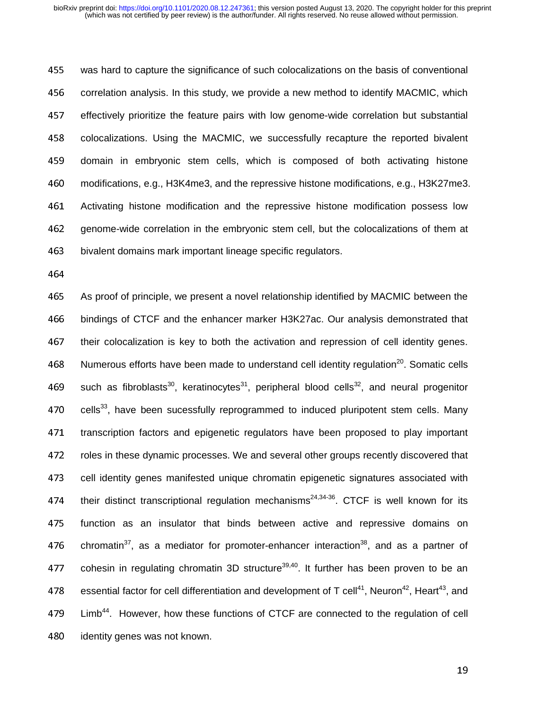455 was hard to capture the significance of such colocalizations on the basis of conventional 456 correlation analysis. In this study, we provide a new method to identify MACMIC, which 457 effectively prioritize the feature pairs with low genome-wide correlation but substantial 458 colocalizations. Using the MACMIC, we successfully recapture the reported bivalent 459 domain in embryonic stem cells, which is composed of both activating histone <sup>460</sup>modifications, e.g., H3K4me3, and the repressive histone modifications, e.g., H3K27me3. 461 Activating histone modification and the repressive histone modification possess low 462 genome-wide correlation in the embryonic stem cell, but the colocalizations of them at 463 bivalent domains mark important lineage specific regulators.

464

465 As proof of principle, we present a novel relationship identified by MACMIC between the <sup>466</sup>bindings of CTCF and the enhancer marker H3K27ac. Our analysis demonstrated that 467 their colocalization is key to both the activation and repression of cell identity genes. 468 Numerous efforts have been made to understand cell identity regulation<sup>20</sup>. Somatic cells 469 such as fibroblasts<sup>30</sup>, keratinocytes<sup>31</sup>, peripheral blood cells<sup>32</sup>, and neural progenitor 470 cells<sup>33</sup>, have been sucessfully reprogrammed to induced pluripotent stem cells. Many 471 transcription factors and epigenetic regulators have been proposed to play important 472 roles in these dynamic processes. We and several other groups recently discovered that 473 cell identity genes manifested unique chromatin epigenetic signatures associated with 474 their distinct transcriptional regulation mechanisms<sup>24,34-36</sup>. CTCF is well known for its 475 function as an insulator that binds between active and repressive domains on 476 chromatin<sup>37</sup>, as a mediator for promoter-enhancer interaction<sup>38</sup>, and as a partner of 477 cohesin in regulating chromatin 3D structure<sup>39,40</sup>. It further has been proven to be an 478 essential factor for cell differentiation and development of T cell<sup>41</sup>, Neuron<sup>42</sup>, Heart<sup>43</sup>, and 479 Limb<sup>44</sup>. However, how these functions of CTCF are connected to the regulation of cell 480 identity genes was not known.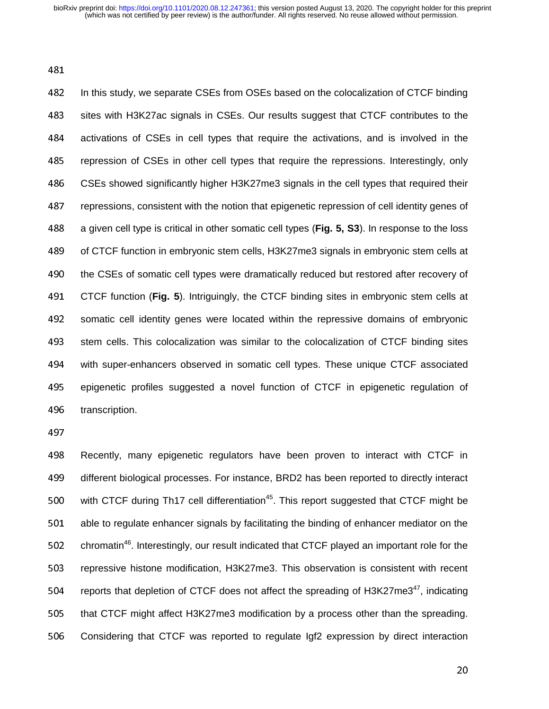481

482 In this study, we separate CSEs from OSEs based on the colocalization of CTCF binding 483 sites with H3K27ac signals in CSEs. Our results suggest that CTCF contributes to the 484 activations of CSEs in cell types that require the activations, and is involved in the 485 repression of CSEs in other cell types that require the repressions. Interestingly, only 486 CSEs showed significantly higher H3K27me3 signals in the cell types that required their 487 repressions, consistent with the notion that epigenetic repression of cell identity genes of <sup>488</sup>a given cell type is critical in other somatic cell types (**Fig. 5, S3**). In response to the loss 489 of CTCF function in embryonic stem cells, H3K27me3 signals in embryonic stem cells at 490 the CSEs of somatic cell types were dramatically reduced but restored after recovery of 491 CTCF function (**Fig. 5**). Intriguingly, the CTCF binding sites in embryonic stem cells at 492 somatic cell identity genes were located within the repressive domains of embryonic 493 stem cells. This colocalization was similar to the colocalization of CTCF binding sites 494 with super-enhancers observed in somatic cell types. These unique CTCF associated 495 epigenetic profiles suggested a novel function of CTCF in epigenetic regulation of 496 transcription.

497

498 Recently, many epigenetic regulators have been proven to interact with CTCF in 499 different biological processes. For instance, BRD2 has been reported to directly interact 500 with CTCF during Th17 cell differentiation<sup>45</sup>. This report suggested that CTCF might be 501 able to regulate enhancer signals by facilitating the binding of enhancer mediator on the 502 chromatin<sup>46</sup>. Interestingly, our result indicated that CTCF played an important role for the 503 repressive histone modification, H3K27me3. This observation is consistent with recent 504 reports that depletion of CTCF does not affect the spreading of H3K27me3 $47$ , indicating 505 that CTCF might affect H3K27me3 modification by a process other than the spreading. 506 Considering that CTCF was reported to regulate Igf2 expression by direct interaction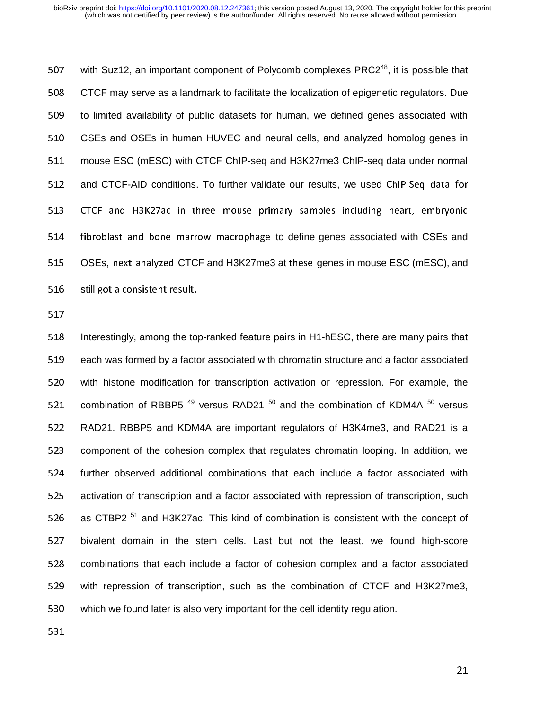507 with Suz12, an important component of Polycomb complexes  $PRC2<sup>48</sup>$ , it is possible that 508 CTCF may serve as a landmark to facilitate the localization of epigenetic regulators. Due 509 to limited availability of public datasets for human, we defined genes associated with 510 CSEs and OSEs in human HUVEC and neural cells, and analyzed homolog genes in 511 mouse ESC (mESC) with CTCF ChIP-seq and H3K27me3 ChIP-seq data under normal 512 and CTCF-AID conditions. To further validate our results, we used ChIP-Seq data for 513 CTCF and H3K27ac in three mouse primary samples including heart, embryonic 514 fibroblast and bone marrow macrophage to define genes associated with CSEs and 515 OSEs, next analyzed CTCF and H3K27me3 at these genes in mouse ESC (mESC), and 516 still got a consistent result.

517

518 Interestingly, among the top-ranked feature pairs in H1-hESC, there are many pairs that 519 each was formed by a factor associated with chromatin structure and a factor associated 520 with histone modification for transcription activation or repression. For example, the 521 combination of RBBP5<sup>49</sup> versus RAD21<sup>50</sup> and the combination of KDM4A<sup>50</sup> versus 522 RAD21. RBBP5 and KDM4A are important regulators of H3K4me3, and RAD21 is a 523 component of the cohesion complex that regulates chromatin looping. In addition, we 524 further observed additional combinations that each include a factor associated with 525 activation of transcription and a factor associated with repression of transcription, such 526 as CTBP2<sup>51</sup> and H3K27ac. This kind of combination is consistent with the concept of 527 bivalent domain in the stem cells. Last but not the least, we found high-score 528 combinations that each include a factor of cohesion complex and a factor associated 529 with repression of transcription, such as the combination of CTCF and H3K27me3, 530 which we found later is also very important for the cell identity regulation.

531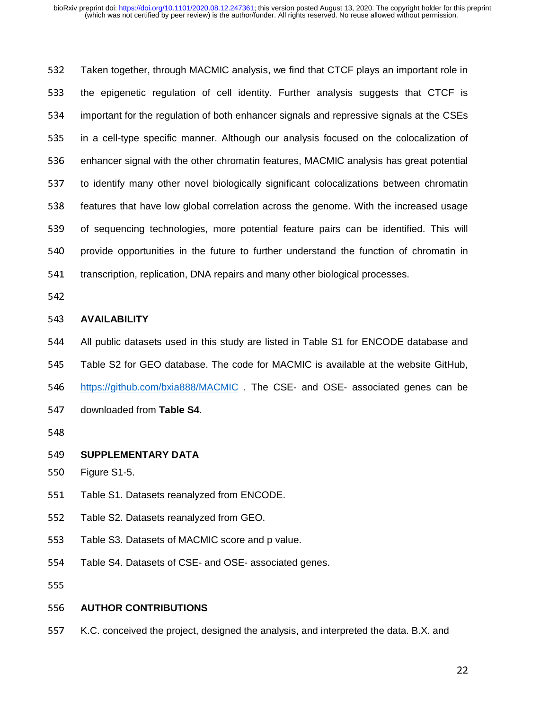532 Taken together, through MACMIC analysis, we find that CTCF plays an important role in 533 the epigenetic regulation of cell identity. Further analysis suggests that CTCF is 534 important for the regulation of both enhancer signals and repressive signals at the CSEs 535 in a cell-type specific manner. Although our analysis focused on the colocalization of 536 enhancer signal with the other chromatin features, MACMIC analysis has great potential 537 to identify many other novel biologically significant colocalizations between chromatin 538 features that have low global correlation across the genome. With the increased usage 539 of sequencing technologies, more potential feature pairs can be identified. This will 540 provide opportunities in the future to further understand the function of chromatin in 541 transcription, replication, DNA repairs and many other biological processes.

542

# <sup>543</sup>**AVAILABILITY**

544 All public datasets used in this study are listed in Table S1 for ENCODE database and

545 Table S2 for GEO database. The code for MACMIC is available at the website GitHub,

546 https://github.com/bxia888/MACMIC . The CSE- and OSE- associated genes can be

547 downloaded from Table S4.

548

# 549 **SUPPLEMENTARY DATA**<br>550 Figure S1-5.

Figure S1-5.

- 551 Table S1. Datasets reanalyzed from ENCODE.
- 552 Table S2. Datasets reanalyzed from GEO.
- 553 Table S3. Datasets of MACMIC score and p value.
- 554 Table S4. Datasets of CSE- and OSE- associated genes.

555

#### <sup>556</sup>**AUTHOR CONTRIBUTIONS**

557 K.C. conceived the project, designed the analysis, and interpreted the data. B.X. and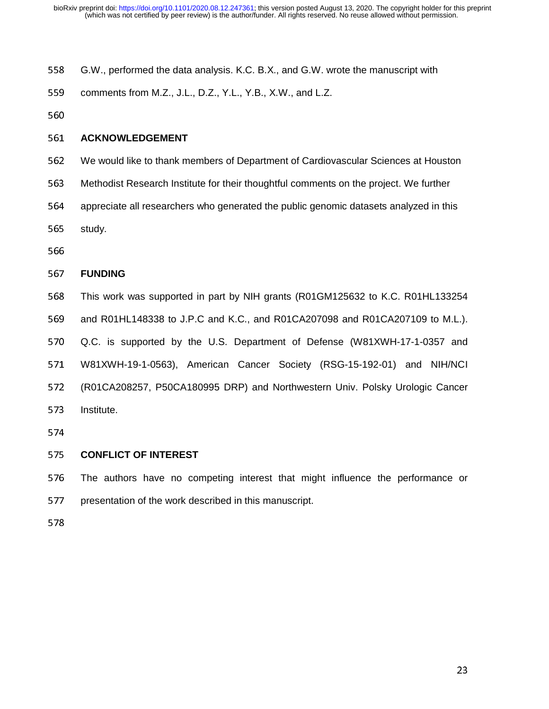- 558 G.W., performed the data analysis. K.C. B.X., and G.W. wrote the manuscript with
- 559 comments from M.Z., J.L., D.Z., Y.L., Y.B., X.W., and L.Z.
- 560

# <sup>561</sup>**ACKNOWLEDGEMENT**

- <sup>562</sup>We would like to thank members of Department of Cardiovascular Sciences at Houston
- <sup>563</sup>Methodist Research Institute for their thoughtful comments on the project. We further
- 564 appreciate all researchers who generated the public genomic datasets analyzed in this
- 565 study.
- 566

#### <sup>567</sup>**FUNDING**

568 This work was supported in part by NIH grants (R01GM125632 to K.C. R01HL133254 569 and R01HL148338 to J.P.C and K.C., and R01CA207098 and R01CA207109 to M.L.). 570 Q.C. is supported by the U.S. Department of Defense (W81XWH-17-1-0357 and 571 W81XWH-19-1-0563), American Cancer Society (RSG-15-192-01) and NIH/NCI <sup>572</sup>(R01CA208257, P50CA180995 DRP) and Northwestern Univ. Polsky Urologic Cancer 573 Institute.

574

# <sup>575</sup>**CONFLICT OF INTEREST**

576 The authors have no competing interest that might influence the performance or 577 presentation of the work described in this manuscript.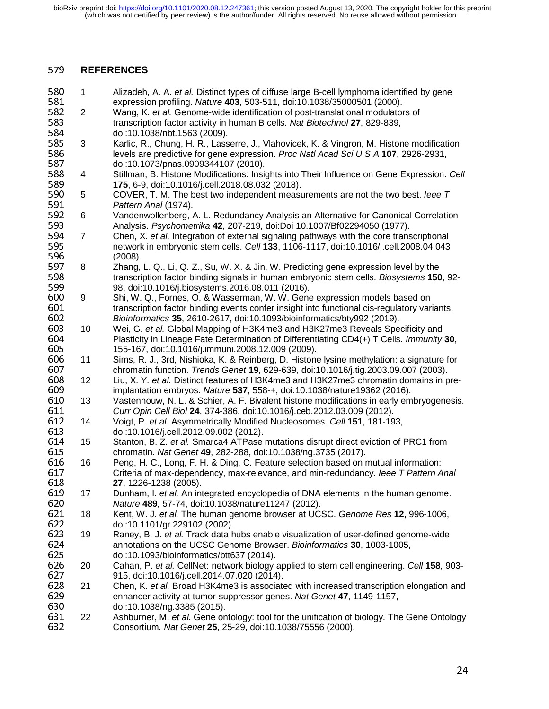# <sup>579</sup>**REFERENCES**

580 1 Alizadeh, A. A. *et al.* Distinct types of diffuse large B-cell lymphoma identified by gene<br>581 expression profiling. Nature **403**, 503-511, doi:10.1038/35000501 (2000). 581 expression profiling. *Nature* 403, 503-511, doi:10.1038/35000501 (2000).<br>582 2 Wang, K. *et al.* Genome-wide identification of post-translational modulator 582 2 Wang, K. *et al.* Genome-wide identification of post-translational modulators of 583<br>583 transcription factor activity in human B cells. Nat Biotechnol 27, 829-839. 583 transcription factor activity in human B cells. *Nat Biotechnol* 27, 829-839, 584 584 doi:10.1038/nbt.1563 (2009).<br>585 3 Karlic, R., Chung, H. R., Lass <sup>585</sup>3 Karlic, R., Chung, H. R., Lasserre, J., Vlahovicek, K. & Vingron, M. Histone modification 586 levels are predictive for gene expression. *Proc Natl Acad Sci U S A* **107**, 2926-2931, 587<br>587 doi:10.1073/pnas.0909344107 (2010). 587 doi:10.1073/pnas.0909344107 (2010).<br>588 4 Stillman, B. Histone Modifications: Insi <sup>588</sup>4 Stillman, B. Histone Modifications: Insights into Their Influence on Gene Expression. *Cell* 589 **175**, 6-9, doi:10.1016/j.cell.2018.08.032 (2018).<br>590 5 COVER, T. M. The best two independent measu 590 5 COVER, T. M. The best two independent measurements are not the two best. *Ieee T* 591 591 **Pattern Anal (1974).**<br>592 6 Vandenwollenberg, *I* 592 6 Vandenwollenberg, A. L. Redundancy Analysis an Alternative for Canonical Correlation<br>593 Analysis. Psychometrika 42, 207-219, doi:Doi 10.1007/Bf02294050 (1977). 593 Analysis. *Psychometrika* **42**, 207-219, doi:Doi 10.1007/Bf02294050 (1977).<br>594 7 Chen, X. *et al.* Integration of external signaling pathways with the core trans 594 7 Chen, X. *et al.* Integration of external signaling pathways with the core transcriptional<br>595 http://www.metwork.inembryonic stem cells. Cell 133, 1106-1117, doi:10.1016/j.cell.2008.04.043 595 hetwork in embryonic stem cells. *Cell* **133**, 1106-1117, doi:10.1016/j.cell.2008.04.043<br>596 (2008). 596 (2008).<br>597 8 Zhang, 597 8 Zhang, L. Q., Li, Q. Z., Su, W. X. & Jin, W. Predicting gene expression level by the<br>598 franscription factor binding signals in human embryonic stem cells. *Biosystems* 150 <sup>598</sup>transcription factor binding signals in human embryonic stem cells. *Biosystems* **<sup>150</sup>**, 92- <sup>599</sup>98, doi:10.1016/j.biosystems.2016.08.011 (2016). 600 9 Shi, W. Q., Fornes, O. & Wasserman, W. W. Gene expression models based on<br>601 franscription factor binding events confer insight into functional cis-regulatory vare 601 **transcription factor binding events confer** insight into functional cis-regulatory variants.<br>602 *Bioinformatics* 35, 2610-2617, doi:10.1093/bioinformatics/bty992 (2019). <sup>602</sup>*Bioinformatics* **<sup>35</sup>**, 2610-2617, doi:10.1093/bioinformatics/bty992 (2019). 603 10 Wei, G. et al. Global Mapping of H3K4me3 and H3K27me3 Reveals Specificity and<br>604 Plasticity in Lineage Fate Determination of Differentiating CD4(+) T Cells. *Immunity* <sup>604</sup>Plasticity in Lineage Fate Determination of Differentiating CD4(+) T Cells. *Immunity* **<sup>30</sup>**, <sup>605</sup>155-167, doi:10.1016/j.immuni.2008.12.009 (2009). 606 11 Sims, R. J., 3rd, Nishioka, K. & Reinberg, D. Histone lysine methylation: a signature for 607 chromatin function. Trends Genet **19**, 629-639, doi:10.1016/j.tig.2003.09.007 (2003). 607 chromatin function. *Trends Genet* **19**, 629-639, doi:10.1016/j.tig.2003.09.007 (2003).<br>608 12 Liu, X. Y. *et al.* Distinct features of H3K4me3 and H3K27me3 chromatin domains in p 608 12 Liu, X. Y. *et al.* Distinct features of H3K4me3 and H3K27me3 chromatin domains in pre-<sup>609</sup>implantation embryos. *Nature* **<sup>537</sup>**, 558-+, doi:10.1038/nature19362 (2016). 610 13 Vastenhouw, N. L. & Schier, A. F. Bivalent histone modifications in early embryogenesis.<br>611 Curr Opin Cell Biol 24, 374-386, doi:10.1016/i.ceb.2012.03.009 (2012). <sup>611</sup>*Curr Opin Cell Biol* **<sup>24</sup>**, 374-386, doi:10.1016/j.ceb.2012.03.009 (2012). <sup>612</sup>14 Voigt, P. *et al.* Asymmetrically Modified Nucleosomes. *Cell* **<sup>151</sup>**, 181-193, 613 doi:10.1016/j.cell.2012.09.002 (2012).<br>614 15 Stanton, B. Z. *et al.* Smarca4 ATPase 614 15 Stanton, B. Z. *et al.* Smarca4 ATPase mutations disrupt direct eviction of PRC1 from<br>615 chromatin. Nat Genet **49**, 282-288, doi:10.1038/ng.3735 (2017). 615 chromatin. *Nat Genet* **49**, 282-288, doi:10.1038/ng.3735 (2017).<br>616 16 Peng, H. C., Long, F. H. & Ding, C. Feature selection based on r 616 16 Peng, H. C., Long, F. H. & Ding, C. Feature selection based on mutual information:<br>617 Criteria of max-dependency, max-relevance, and min-redundancy. leee T Pattern A 617 Criteria of max-dependency, max-relevance, and min-redundancy. *Ieee T Pattern Anal*<br>618 **27**, 1226-1238 (2005). <sup>618</sup>**27**, 1226-1238 (2005). 619 17 Dunham, I. *et al.* An integrated encyclopedia of DNA elements in the human genome.<br>620 *Nature* 489, 57-74, doi:10.1038/nature11247 (2012). <sup>620</sup>*Nature* **<sup>489</sup>**, 57-74, doi:10.1038/nature11247 (2012). <sup>621</sup>18 Kent, W. J. *et al.* The human genome browser at UCSC. *Genome Res* **<sup>12</sup>**, 996-1006, 622 doi:10.1101/gr.229102 (2002).<br>623 19 Raney, B. J. *et al.* Track data h 623 19 Raney, B. J. *et al.* Track data hubs enable visualization of user-defined genome-wide<br>624 **Auror**annotations on the UCSC Genome Browser. *Bioinformatics* **30**, 1003-1005, <sup>624</sup>annotations on the UCSC Genome Browser. *Bioinformatics* **<sup>30</sup>**, 1003-1005, 625 doi:10.1093/bioinformatics/btt637 (2014).<br>626 20 Cahan, P. et al. CellNet: network biology <sup>626</sup>20 Cahan, P. *et al.* CellNet: network biology applied to stem cell engineering. *Cell* **<sup>158</sup>**, 903- 627 915, doi:10.1016/j.cell.2014.07.020 (2014).<br>628 21 Chen, K. et al. Broad H3K4me3 is associate 628 21 Chen, K. *et al.* Broad H3K4me3 is associated with increased transcription elongation and 629<br>629 enhancer activity at tumor-suppressor genes. Nat Genet 47, 1149-1157, <sup>629</sup>enhancer activity at tumor-suppressor genes. *Nat Genet* **<sup>47</sup>**, 1149-1157, <sup>630</sup>doi:10.1038/ng.3385 (2015). 631 22 Ashburner, M. et al. Gene ontology: tool for the unification of biology. The Gene Ontology<br>632 Consortium. Nat Genet 25, 25-29, doi:10.1038/75556 (2000). <sup>632</sup>Consortium. *Nat Genet* **<sup>25</sup>**, 25-29, doi:10.1038/75556 (2000).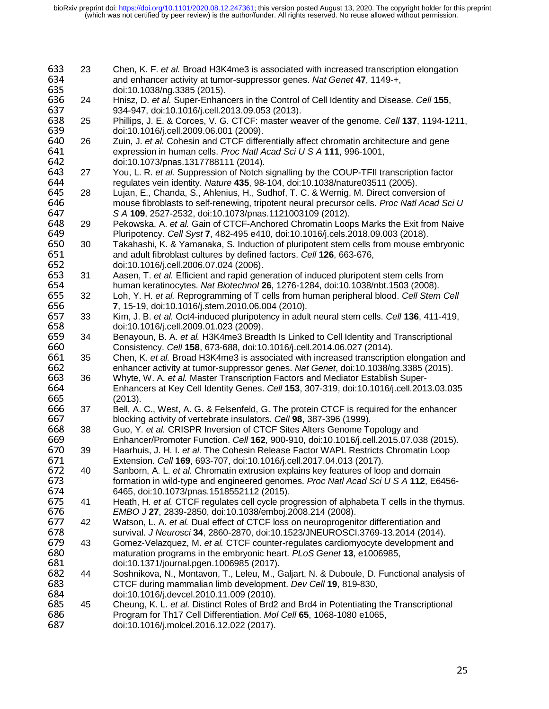| 633<br>634<br>635 | 23 | Chen, K. F. et al. Broad H3K4me3 is associated with increased transcription elongation<br>and enhancer activity at tumor-suppressor genes. Nat Genet 47, 1149-+,<br>doi:10.1038/ng.3385 (2015). |
|-------------------|----|-------------------------------------------------------------------------------------------------------------------------------------------------------------------------------------------------|
| 636               | 24 | Hnisz, D. et al. Super-Enhancers in the Control of Cell Identity and Disease. Cell 155,                                                                                                         |
| 637<br>638        | 25 | 934-947, doi:10.1016/j.cell.2013.09.053 (2013).<br>Phillips, J. E. & Corces, V. G. CTCF: master weaver of the genome. Cell 137, 1194-1211,                                                      |
| 639               |    | doi:10.1016/j.cell.2009.06.001 (2009).                                                                                                                                                          |
| 640<br>641        | 26 | Zuin, J. et al. Cohesin and CTCF differentially affect chromatin architecture and gene<br>expression in human cells. Proc Natl Acad Sci U S A 111, 996-1001,                                    |
| 642               |    | doi:10.1073/pnas.1317788111 (2014).                                                                                                                                                             |
| 643<br>644        | 27 | You, L. R. et al. Suppression of Notch signalling by the COUP-TFII transcription factor<br>regulates vein identity. Nature 435, 98-104, doi:10.1038/nature03511 (2005).                         |
| 645               | 28 | Lujan, E., Chanda, S., Ahlenius, H., Sudhof, T. C. & Wernig, M. Direct conversion of                                                                                                            |
| 646               |    | mouse fibroblasts to self-renewing, tripotent neural precursor cells. Proc Natl Acad Sci U                                                                                                      |
| 647               |    | S A 109, 2527-2532, doi:10.1073/pnas.1121003109 (2012).                                                                                                                                         |
| 648               | 29 | Pekowska, A. et al. Gain of CTCF-Anchored Chromatin Loops Marks the Exit from Naive                                                                                                             |
| 649               |    | Pluripotency. Cell Syst 7, 482-495 e410, doi:10.1016/j.cels.2018.09.003 (2018).                                                                                                                 |
| 650               | 30 | Takahashi, K. & Yamanaka, S. Induction of pluripotent stem cells from mouse embryonic                                                                                                           |
| 651               |    | and adult fibroblast cultures by defined factors. Cell 126, 663-676,                                                                                                                            |
| 652               |    | doi:10.1016/j.cell.2006.07.024 (2006).                                                                                                                                                          |
| 653               | 31 | Aasen, T. et al. Efficient and rapid generation of induced pluripotent stem cells from                                                                                                          |
| 654               |    | human keratinocytes. Nat Biotechnol 26, 1276-1284, doi:10.1038/nbt.1503 (2008).                                                                                                                 |
| 655               | 32 | Loh, Y. H. et al. Reprogramming of T cells from human peripheral blood. Cell Stem Cell                                                                                                          |
| 656               |    | 7, 15-19, doi:10.1016/j.stem.2010.06.004 (2010).                                                                                                                                                |
| 657               | 33 | Kim, J. B. et al. Oct4-induced pluripotency in adult neural stem cells. Cell 136, 411-419,                                                                                                      |
| 658               |    | doi:10.1016/j.cell.2009.01.023 (2009).                                                                                                                                                          |
| 659               | 34 | Benayoun, B. A. et al. H3K4me3 Breadth Is Linked to Cell Identity and Transcriptional                                                                                                           |
| 660               |    | Consistency. Cell 158, 673-688, doi:10.1016/j.cell.2014.06.027 (2014).                                                                                                                          |
| 661               | 35 | Chen, K. et al. Broad H3K4me3 is associated with increased transcription elongation and                                                                                                         |
| 662               |    | enhancer activity at tumor-suppressor genes. Nat Genet, doi:10.1038/ng.3385 (2015).                                                                                                             |
| 663               | 36 | Whyte, W. A. et al. Master Transcription Factors and Mediator Establish Super-                                                                                                                  |
| 664               |    | Enhancers at Key Cell Identity Genes. Cell 153, 307-319, doi:10.1016/j.cell.2013.03.035                                                                                                         |
| 665               |    | (2013).                                                                                                                                                                                         |
| 666               | 37 | Bell, A. C., West, A. G. & Felsenfeld, G. The protein CTCF is required for the enhancer                                                                                                         |
| 667               |    | blocking activity of vertebrate insulators. Cell 98, 387-396 (1999).                                                                                                                            |
| 668               | 38 | Guo, Y. et al. CRISPR Inversion of CTCF Sites Alters Genome Topology and                                                                                                                        |
| 669               |    | Enhancer/Promoter Function. Cell 162, 900-910, doi:10.1016/j.cell.2015.07.038 (2015).                                                                                                           |
| 670               | 39 | Haarhuis, J. H. I. et al. The Cohesin Release Factor WAPL Restricts Chromatin Loop                                                                                                              |
| 671               |    | Extension. Cell 169, 693-707, doi:10.1016/j.cell.2017.04.013 (2017).                                                                                                                            |
| 672               | 40 | Sanborn, A. L. et al. Chromatin extrusion explains key features of loop and domain                                                                                                              |
| 673               |    | formation in wild-type and engineered genomes. Proc Natl Acad Sci U S A 112, E6456-                                                                                                             |
| 674               | 41 | 6465, doi:10.1073/pnas.1518552112 (2015).                                                                                                                                                       |
| 675               |    | Heath, H. et al. CTCF regulates cell cycle progression of alphabeta T cells in the thymus.<br>EMBO J 27, 2839-2850, doi:10.1038/emboj.2008.214 (2008).                                          |
| 676<br>677        | 42 | Watson, L. A. et al. Dual effect of CTCF loss on neuroprogenitor differentiation and                                                                                                            |
| 678               |    | survival. J Neurosci 34, 2860-2870, doi:10.1523/JNEUROSCI.3769-13.2014 (2014).                                                                                                                  |
| 679               | 43 | Gomez-Velazquez, M. et al. CTCF counter-regulates cardiomyocyte development and                                                                                                                 |
| 680               |    | maturation programs in the embryonic heart. PLoS Genet 13, e1006985,                                                                                                                            |
| 681               |    | doi:10.1371/journal.pgen.1006985 (2017).                                                                                                                                                        |
| 682               | 44 | Soshnikova, N., Montavon, T., Leleu, M., Galjart, N. & Duboule, D. Functional analysis of                                                                                                       |
| 683               |    | CTCF during mammalian limb development. Dev Cell 19, 819-830,                                                                                                                                   |
| 684               |    | doi:10.1016/j.devcel.2010.11.009 (2010).                                                                                                                                                        |
| 685               | 45 | Cheung, K. L. et al. Distinct Roles of Brd2 and Brd4 in Potentiating the Transcriptional                                                                                                        |
| 686               |    | Program for Th17 Cell Differentiation. Mol Cell 65, 1068-1080 e1065,                                                                                                                            |
| 687               |    | doi:10.1016/j.molcel.2016.12.022 (2017).                                                                                                                                                        |
|                   |    |                                                                                                                                                                                                 |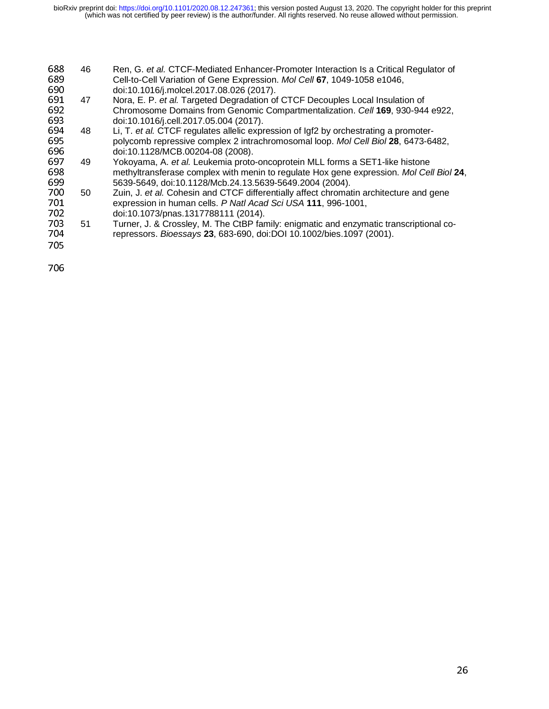- 688 46 Ren, G. *et al.* CTCF-Mediated Enhancer-Promoter Interaction Is a Critical Regulator of 689<br>689 Cell-to-Cell Variation of Gene Expression. *Mol Cell* 67, 1049-1058 e1046, 689 Cell-to-Cell Variation of Gene Expression. *Mol Cell* **67**, 1049-1058 e1046,<br>690 doi:10.1016/j.molcel.2017.08.026 (2017).
- 690 doi:10.1016/j.molcel.2017.08.026 (2017).<br>691 47 Nora. E. P. et al. Targeted Degradation of <sup>691</sup>47 Nora, E. P. *et al.* Targeted Degradation of CTCF Decouples Local Insulation of
- 692 Chromosome Domains from Genomic Compartmentalization. *Cell* **169**, 930-944 e922, 693<br>693 doi:10.1016/j.cell.2017.05.004 (2017). 693 doi:10.1016/j.cell.2017.05.004 (2017).<br>694 48 Li, T. *et al.* CTCF regulates allelic expr
- 694 48 Li, T. *et al.* CTCF regulates allelic expression of Igf2 by orchestrating a promoter-<sup>695</sup>polycomb repressive complex 2 intrachromosomal loop. *Mol Cell Biol* **<sup>28</sup>**, 6473-6482,
- 696 doi:10.1128/MCB.00204-08 (2008).<br>697 49 Yokoyama, A. *et al.* Leukemia proto 697 49 Yokoyama, A. *et al.* Leukemia proto-oncoprotein MLL forms a SET1-like histone<br>698 methyltransferase complex with menin to regulate Hox gene expression. *Mol Cel* <sup>698</sup>methyltransferase complex with menin to regulate Hox gene expression. *Mol Cell Biol* **<sup>24</sup>**,
- 699 5639-5649, doi:10.1128/Mcb.24.13.5639-5649.2004 (2004).<br>700 50 Zuin, J. et al. Cohesin and CTCF differentially affect chromat 700 50 Zuin, J. et al. Cohesin and CTCF differentially affect chromatin architecture and gene<br>701 expression in human cells. P Natl Acad Sci USA 111, 996-1001, 701 expression in human cells. *P Natl Acad Sci USA* 111, 996-1001,<br>702 doi:10.1073/pnas.1317788111 (2014).
- 702 doi:10.1073/pnas.1317788111 (2014).<br>703 51 Turner. J. & Crosslev. M. The CtBP far
- 703 51 Turner, J. & Crossley, M. The CtBP family: enigmatic and enzymatic transcriptional co-<br>704 repressors. Bioessavs 23. 683-690. doi:DOI 10.1002/bies.1097 (2001). <sup>704</sup>repressors. *Bioessays* **<sup>23</sup>**, 683-690, doi:DOI 10.1002/bies.1097 (2001). 705
-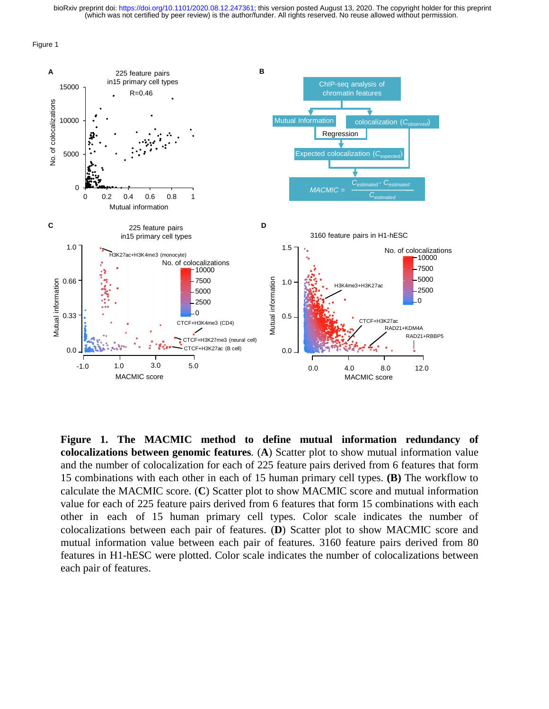Figure 1



**Figure 1. The MACMIC method to define mutual information redundancy of colocalizations between genomic features**. (**A**) Scatter plot to show mutual information value and the number of colocalization for each of 225 feature pairs derived from 6 features that form 15 combinations with each other in each of 15 human primary cell types. **(B)** The workflow to calculate the MACMIC score. (**C**) Scatter plot to show MACMIC score and mutual information value for each of 225 feature pairs derived from 6 features that form 15 combinations with each other in each of 15 human primary cell types. Color scale indicates the number of colocalizations between each pair of features. (**D**) Scatter plot to show MACMIC score and mutual information value between each pair of features. 3160 feature pairs derived from 80 features in H1-hESC were plotted. Color scale indicates the number of colocalizations between each pair of features.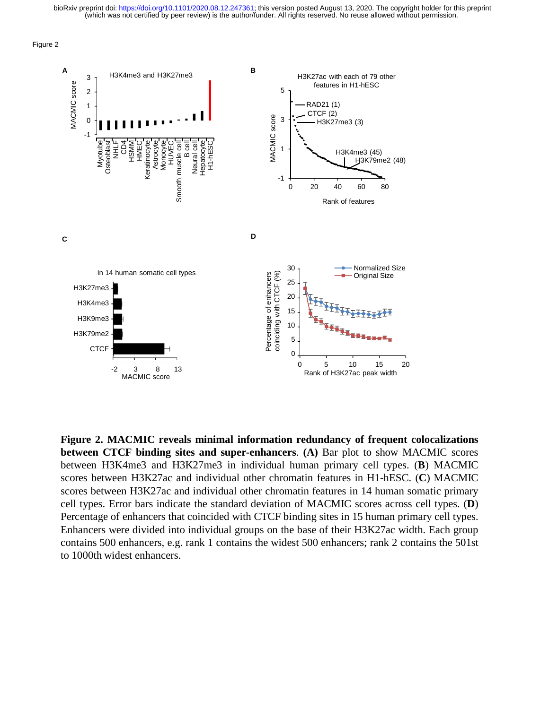



**Figure 2. MACMIC reveals minimal information redundancy of frequent colocalizations between CTCF binding sites and super-enhancers**. **(A)** Bar plot to show MACMIC scores between H3K4me3 and H3K27me3 in individual human primary cell types. (**B**) MACMIC scores between H3K27ac and individual other chromatin features in H1-hESC. (**C**) MACMIC scores between H3K27ac and individual other chromatin features in 14 human somatic primary cell types. Error bars indicate the standard deviation of MACMIC scores across cell types. (**D**) Percentage of enhancers that coincided with CTCF binding sites in 15 human primary cell types. Enhancers were divided into individual groups on the base of their H3K27ac width. Each group contains 500 enhancers, e.g. rank 1 contains the widest 500 enhancers; rank 2 contains the 501st to 1000th widest enhancers.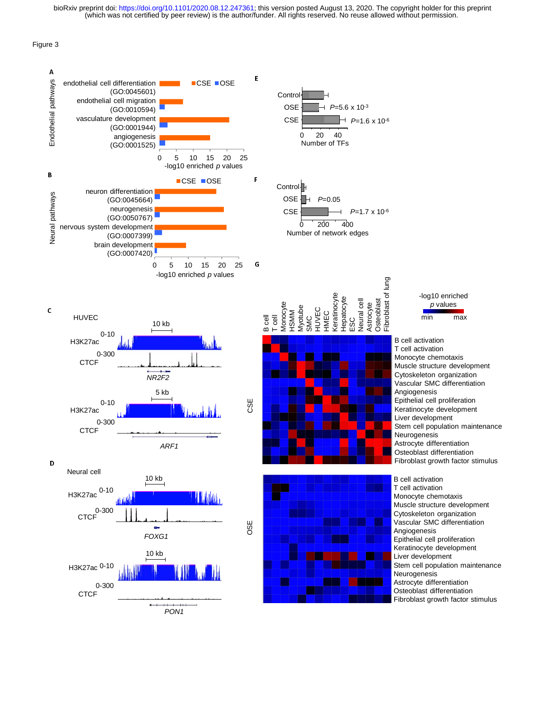Figure 3

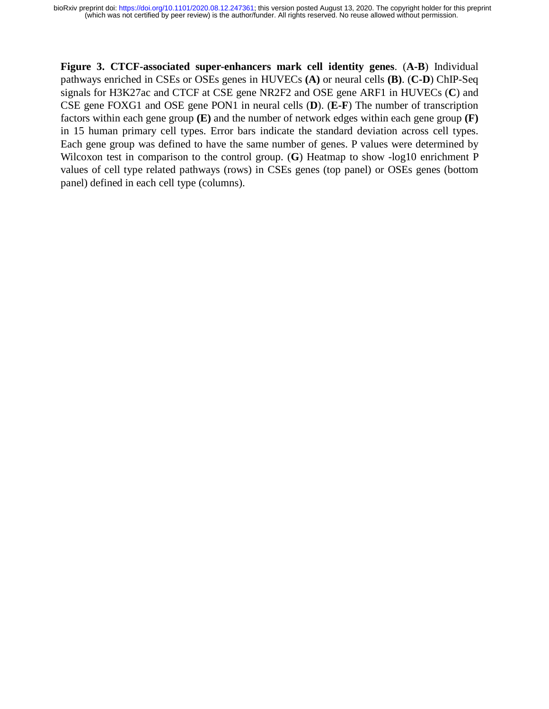**Figure 3. CTCF-associated super-enhancers mark cell identity genes**. (**A-B**) Individual pathways enriched in CSEs or OSEs genes in HUVECs **(A)** or neural cells **(B)**. (**C-D**) ChIP-Seq signals for H3K27ac and CTCF at CSE gene NR2F2 and OSE gene ARF1 in HUVECs (**C**) and CSE gene FOXG1 and OSE gene PON1 in neural cells (**D**). (**E-F**) The number of transcription factors within each gene group **(E)** and the number of network edges within each gene group **(F)** in 15 human primary cell types. Error bars indicate the standard deviation across cell types. Each gene group was defined to have the same number of genes. P values were determined by Wilcoxon test in comparison to the control group. (**G**) Heatmap to show -log10 enrichment P values of cell type related pathways (rows) in CSEs genes (top panel) or OSEs genes (bottom panel) defined in each cell type (columns).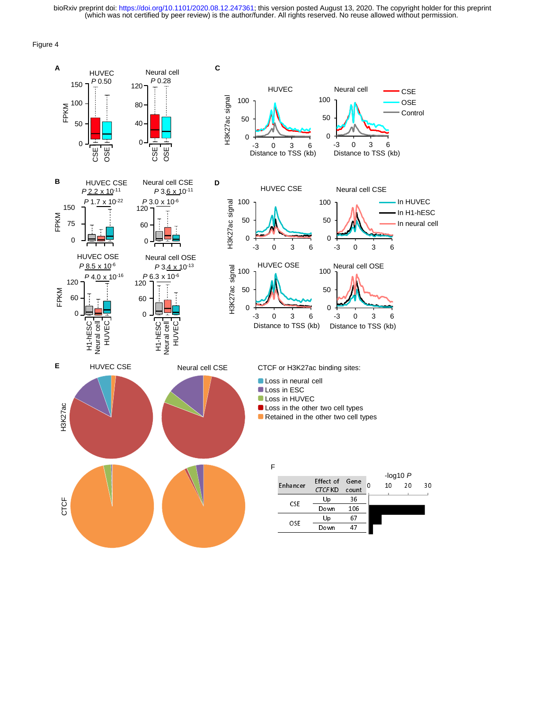Figure 4

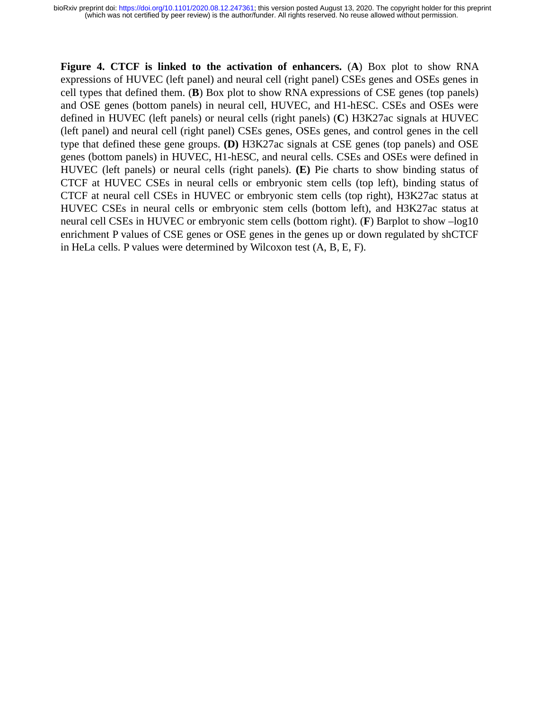**Figure 4. CTCF is linked to the activation of enhancers.** (**A**) Box plot to show RNA expressions of HUVEC (left panel) and neural cell (right panel) CSEs genes and OSEs genes in cell types that defined them. (**B**) Box plot to show RNA expressions of CSE genes (top panels) and OSE genes (bottom panels) in neural cell, HUVEC, and H1-hESC. CSEs and OSEs were defined in HUVEC (left panels) or neural cells (right panels) (**C**) H3K27ac signals at HUVEC (left panel) and neural cell (right panel) CSEs genes, OSEs genes, and control genes in the cell type that defined these gene groups. **(D)** H3K27ac signals at CSE genes (top panels) and OSE genes (bottom panels) in HUVEC, H1-hESC, and neural cells. CSEs and OSEs were defined in HUVEC (left panels) or neural cells (right panels). **(E)** Pie charts to show binding status of CTCF at HUVEC CSEs in neural cells or embryonic stem cells (top left), binding status of CTCF at neural cell CSEs in HUVEC or embryonic stem cells (top right), H3K27ac status at HUVEC CSEs in neural cells or embryonic stem cells (bottom left), and H3K27ac status at neural cell CSEs in HUVEC or embryonic stem cells (bottom right). (**F**) Barplot to show –log10 enrichment P values of CSE genes or OSE genes in the genes up or down regulated by shCTCF in HeLa cells. P values were determined by Wilcoxon test (A, B, E, F).